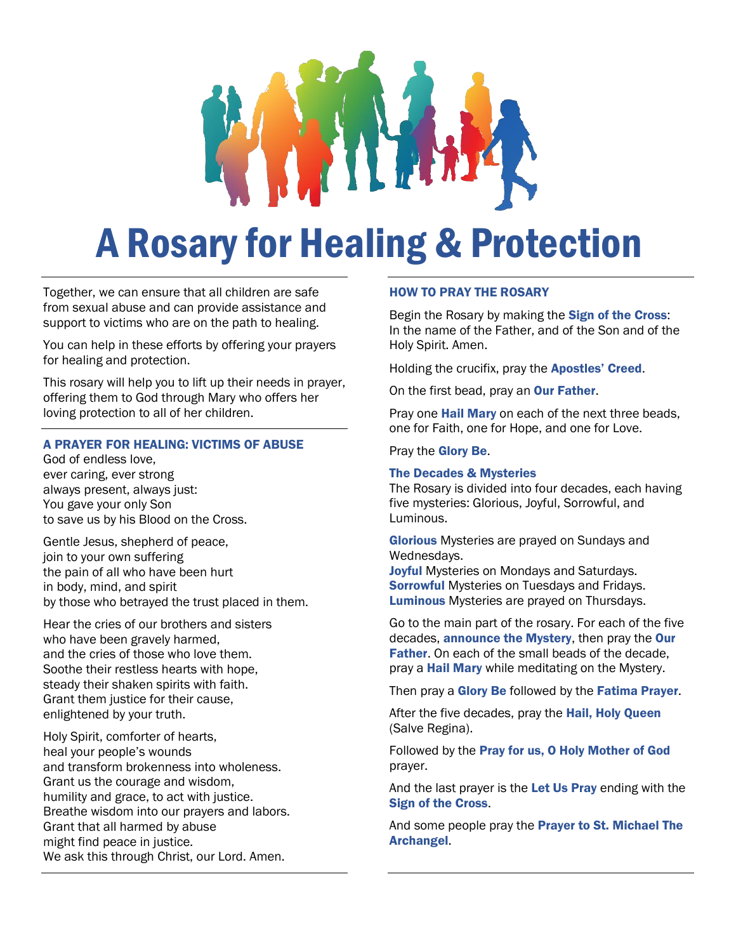

# A Rosary for Healing & Protection

Together, we can ensure that all children are safe from sexual abuse and can provide assistance and support to victims who are on the path to healing.

You can help in these efforts by offering your prayers for healing and protection.

This rosary will help you to lift up their needs in prayer, offering them to God through Mary who offers her loving protection to all of her children.

# A PRAYER FOR HEALING: VICTIMS OF ABUSE

God of endless love, ever caring, ever strong always present, always just: You gave your only Son to save us by his Blood on the Cross.

Gentle Jesus, shepherd of peace, join to your own suffering the pain of all who have been hurt in body, mind, and spirit by those who betrayed the trust placed in them.

Hear the cries of our brothers and sisters who have been gravely harmed, and the cries of those who love them. Soothe their restless hearts with hope, steady their shaken spirits with faith. Grant them justice for their cause, enlightened by your truth.

Holy Spirit, comforter of hearts, heal your people's wounds and transform brokenness into wholeness. Grant us the courage and wisdom, humility and grace, to act with justice. Breathe wisdom into our prayers and labors. Grant that all harmed by abuse might find peace in justice. We ask this through Christ, our Lord. Amen.

## HOW TO PRAY THE ROSARY

Begin the Rosary by making the **Sign of the Cross:** In the name of the Father, and of the Son and of the Holy Spirit. Amen.

Holding the crucifix, pray the **Apostles' Creed.** 

On the first bead, pray an **Our Father.** 

Pray one **Hail Mary** on each of the next three beads, one for Faith, one for Hope, and one for Love.

Pray the Glory Be.

#### The Decades & Mysteries

The Rosary is divided into four decades, each having five mysteries: Glorious, Joyful, Sorrowful, and Luminous.

**Glorious** Mysteries are prayed on Sundays and Wednesdays.

**Joyful Mysteries on Mondays and Saturdays. Sorrowful** Mysteries on Tuesdays and Fridays. **Luminous** Mysteries are prayed on Thursdays.

Go to the main part of the rosary. For each of the five decades, announce the Mystery, then pray the Our Father. On each of the small beads of the decade, pray a Hail Mary while meditating on the Mystery.

Then pray a Glory Be followed by the Fatima Prayer.

After the five decades, pray the Hail, Holy Queen (Salve Regina).

Followed by the Pray for us, O Holy Mother of God prayer.

And the last prayer is the Let Us Pray ending with the Sign of the Cross.

And some people pray the Prayer to St. Michael The Archangel.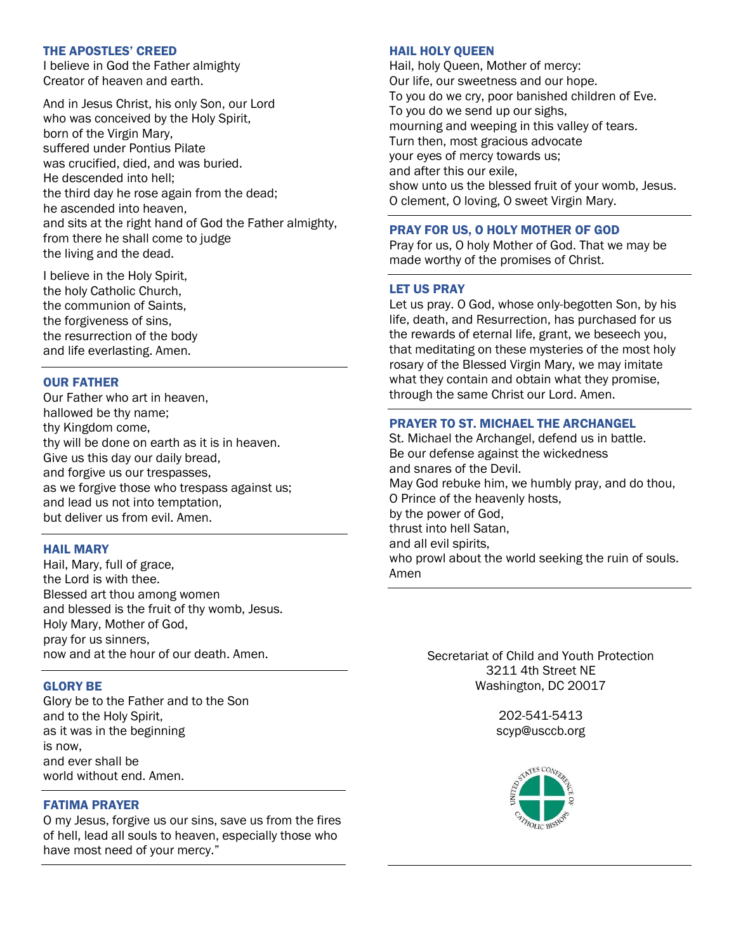## THE APOSTLES' CREED

I believe in God the Father almighty Creator of heaven and earth.

And in Jesus Christ, his only Son, our Lord who was conceived by the Holy Spirit, born of the Virgin Mary, suffered under Pontius Pilate was crucified, died, and was buried. He descended into hell; the third day he rose again from the dead; he ascended into heaven, and sits at the right hand of God the Father almighty, from there he shall come to judge the living and the dead.

I believe in the Holy Spirit, the holy Catholic Church, the communion of Saints, the forgiveness of sins, the resurrection of the body and life everlasting. Amen.

# OUR FATHER

Our Father who art in heaven, hallowed be thy name; thy Kingdom come, thy will be done on earth as it is in heaven. Give us this day our daily bread, and forgive us our trespasses, as we forgive those who trespass against us; and lead us not into temptation, but deliver us from evil. Amen.

# HAIL MARY

Hail, Mary, full of grace, the Lord is with thee. Blessed art thou among women and blessed is the fruit of thy womb, Jesus. Holy Mary, Mother of God, pray for us sinners, now and at the hour of our death. Amen.

## GLORY BE

Glory be to the Father and to the Son and to the Holy Spirit, as it was in the beginning is now, and ever shall be world without end. Amen.

## FATIMA PRAYER

O my Jesus, forgive us our sins, save us from the fires of hell, lead all souls to heaven, especially those who have most need of your mercy."

# HAIL HOLY QUEEN

Hail, holy Queen, Mother of mercy: Our life, our sweetness and our hope. To you do we cry, poor banished children of Eve. To you do we send up our sighs, mourning and weeping in this valley of tears. Turn then, most gracious advocate your eyes of mercy towards us; and after this our exile, show unto us the blessed fruit of your womb, Jesus. O clement, O loving, O sweet Virgin Mary.

# PRAY FOR US, O HOLY MOTHER OF GOD

Pray for us, O holy Mother of God. That we may be made worthy of the promises of Christ.

# LET US PRAY

Let us pray. O God, whose only-begotten Son, by his life, death, and Resurrection, has purchased for us the rewards of eternal life, grant, we beseech you, that meditating on these mysteries of the most holy rosary of the Blessed Virgin Mary, we may imitate what they contain and obtain what they promise, through the same Christ our Lord. Amen.

## PRAYER TO ST. MICHAEL THE ARCHANGEL

St. Michael the Archangel, defend us in battle. Be our defense against the wickedness and snares of the Devil. May God rebuke him, we humbly pray, and do thou, O Prince of the heavenly hosts, by the power of God, thrust into hell Satan, and all evil spirits, who prowl about the world seeking the ruin of souls. Amen

> Secretariat of Child and Youth Protection 3211 4th Street NE Washington, DC 20017

> > 202-541-5413 scyp@usccb.org

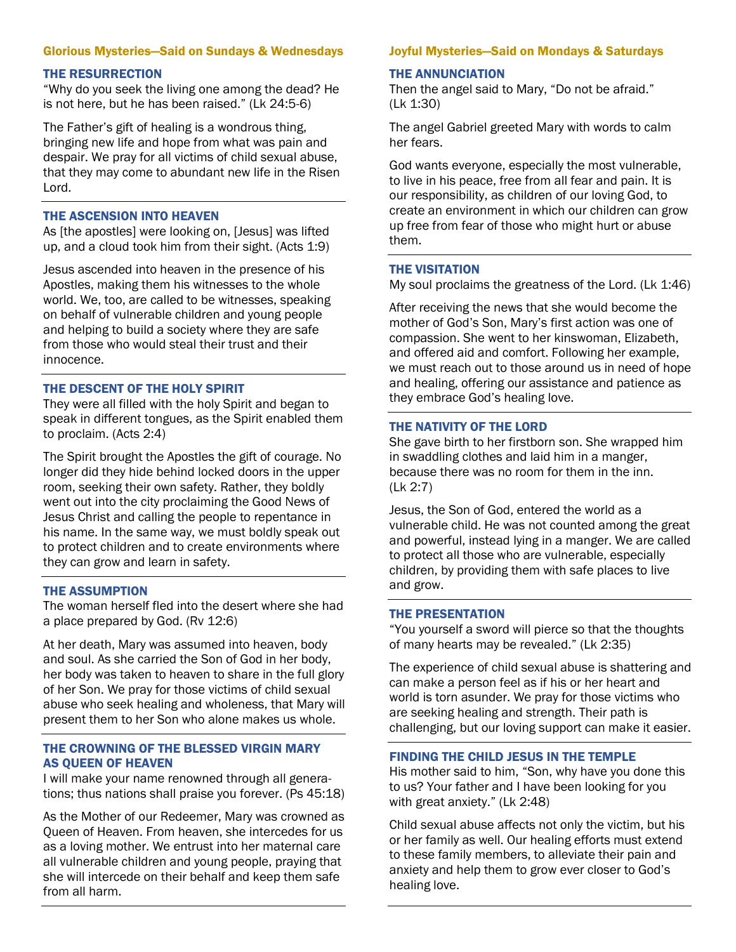# Glorious Mysteries—Said on Sundays & Wednesdays

# THE RESURRECTION

"Why do you seek the living one among the dead? He is not here, but he has been raised." (Lk 24:5-6)

The Father's gift of healing is a wondrous thing, bringing new life and hope from what was pain and despair. We pray for all victims of child sexual abuse, that they may come to abundant new life in the Risen Lord.

#### THE ASCENSION INTO HEAVEN

As [the apostles] were looking on, [Jesus] was lifted up, and a cloud took him from their sight. (Acts 1:9)

Jesus ascended into heaven in the presence of his Apostles, making them his witnesses to the whole world. We, too, are called to be witnesses, speaking on behalf of vulnerable children and young people and helping to build a society where they are safe from those who would steal their trust and their innocence.

#### THE DESCENT OF THE HOLY SPIRIT

They were all filled with the holy Spirit and began to speak in different tongues, as the Spirit enabled them to proclaim. (Acts 2:4)

The Spirit brought the Apostles the gift of courage. No longer did they hide behind locked doors in the upper room, seeking their own safety. Rather, they boldly went out into the city proclaiming the Good News of Jesus Christ and calling the people to repentance in his name. In the same way, we must boldly speak out to protect children and to create environments where they can grow and learn in safety.

#### THE ASSUMPTION

The woman herself fled into the desert where she had a place prepared by God. (Rv 12:6)

At her death, Mary was assumed into heaven, body and soul. As she carried the Son of God in her body, her body was taken to heaven to share in the full glory of her Son. We pray for those victims of child sexual abuse who seek healing and wholeness, that Mary will present them to her Son who alone makes us whole.

# THE CROWNING OF THE BLESSED VIRGIN MARY AS QUEEN OF HEAVEN

I will make your name renowned through all generations; thus nations shall praise you forever. (Ps 45:18)

As the Mother of our Redeemer, Mary was crowned as Queen of Heaven. From heaven, she intercedes for us as a loving mother. We entrust into her maternal care all vulnerable children and young people, praying that she will intercede on their behalf and keep them safe from all harm.

# Joyful Mysteries—Said on Mondays & Saturdays

# THE ANNUNCIATION

Then the angel said to Mary, "Do not be afraid." (Lk 1:30)

The angel Gabriel greeted Mary with words to calm her fears.

God wants everyone, especially the most vulnerable, to live in his peace, free from all fear and pain. It is our responsibility, as children of our loving God, to create an environment in which our children can grow up free from fear of those who might hurt or abuse them.

#### THE VISITATION

My soul proclaims the greatness of the Lord. (Lk 1:46)

After receiving the news that she would become the mother of God's Son, Mary's first action was one of compassion. She went to her kinswoman, Elizabeth, and offered aid and comfort. Following her example, we must reach out to those around us in need of hope and healing, offering our assistance and patience as they embrace God's healing love.

#### THE NATIVITY OF THE LORD

She gave birth to her firstborn son. She wrapped him in swaddling clothes and laid him in a manger, because there was no room for them in the inn. (Lk 2:7)

Jesus, the Son of God, entered the world as a vulnerable child. He was not counted among the great and powerful, instead lying in a manger. We are called to protect all those who are vulnerable, especially children, by providing them with safe places to live and grow.

# THE PRESENTATION

"You yourself a sword will pierce so that the thoughts of many hearts may be revealed." (Lk 2:35)

The experience of child sexual abuse is shattering and can make a person feel as if his or her heart and world is torn asunder. We pray for those victims who are seeking healing and strength. Their path is challenging, but our loving support can make it easier.

## FINDING THE CHILD JESUS IN THE TEMPLE

His mother said to him, "Son, why have you done this to us? Your father and I have been looking for you with great anxiety." (Lk 2:48)

Child sexual abuse affects not only the victim, but his or her family as well. Our healing efforts must extend to these family members, to alleviate their pain and anxiety and help them to grow ever closer to God's healing love.